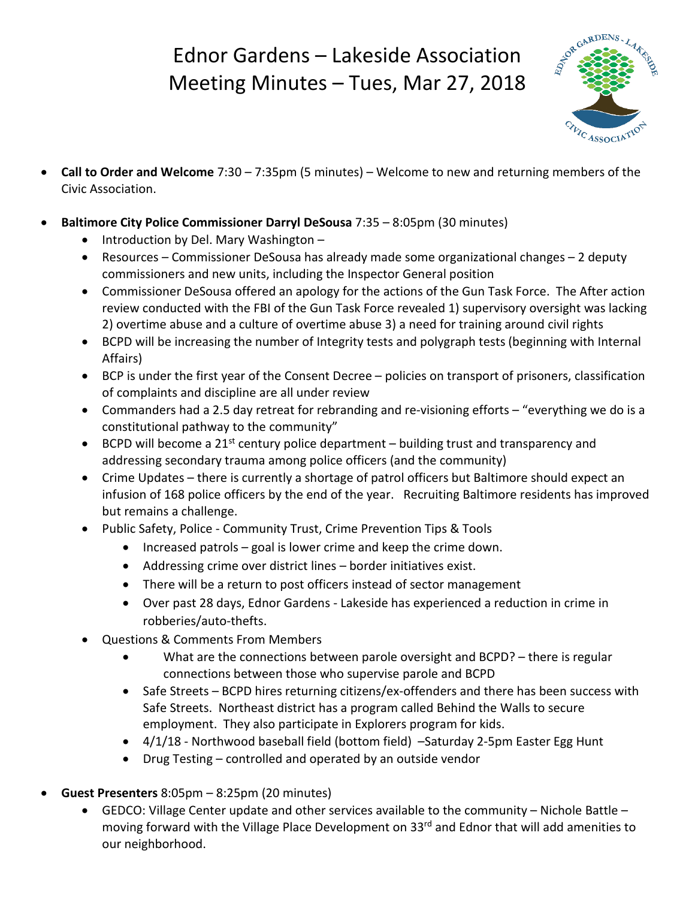## Ednor Gardens – Lakeside Association Meeting Minutes – Tues, Mar 27, 2018



- **Call to Order and Welcome** 7:30 7:35pm (5 minutes) Welcome to new and returning members of the Civic Association.
- **Baltimore City Police Commissioner Darryl DeSousa** 7:35 8:05pm (30 minutes)
	- Introduction by Del. Mary Washington –
	- Resources Commissioner DeSousa has already made some organizational changes 2 deputy commissioners and new units, including the Inspector General position
	- Commissioner DeSousa offered an apology for the actions of the Gun Task Force. The After action review conducted with the FBI of the Gun Task Force revealed 1) supervisory oversight was lacking 2) overtime abuse and a culture of overtime abuse 3) a need for training around civil rights
	- BCPD will be increasing the number of Integrity tests and polygraph tests (beginning with Internal Affairs)
	- BCP is under the first year of the Consent Decree policies on transport of prisoners, classification of complaints and discipline are all under review
	- Commanders had a 2.5 day retreat for rebranding and re-visioning efforts "everything we do is a constitutional pathway to the community"
	- BCPD will become a 21<sup>st</sup> century police department building trust and transparency and addressing secondary trauma among police officers (and the community)
	- Crime Updates there is currently a shortage of patrol officers but Baltimore should expect an infusion of 168 police officers by the end of the year. Recruiting Baltimore residents has improved but remains a challenge.
	- Public Safety, Police Community Trust, Crime Prevention Tips & Tools
		- Increased patrols goal is lower crime and keep the crime down.
		- Addressing crime over district lines border initiatives exist.
		- There will be a return to post officers instead of sector management
		- Over past 28 days, Ednor Gardens Lakeside has experienced a reduction in crime in robberies/auto-thefts.
	- Questions & Comments From Members
		- What are the connections between parole oversight and BCPD? there is regular connections between those who supervise parole and BCPD
		- Safe Streets BCPD hires returning citizens/ex-offenders and there has been success with Safe Streets. Northeast district has a program called Behind the Walls to secure employment. They also participate in Explorers program for kids.
		- 4/1/18 Northwood baseball field (bottom field) Saturday 2-5pm Easter Egg Hunt
		- Drug Testing controlled and operated by an outside vendor
- **Guest Presenters** 8:05pm 8:25pm (20 minutes)
	- GEDCO: Village Center update and other services available to the community Nichole Battle moving forward with the Village Place Development on 33<sup>rd</sup> and Ednor that will add amenities to our neighborhood.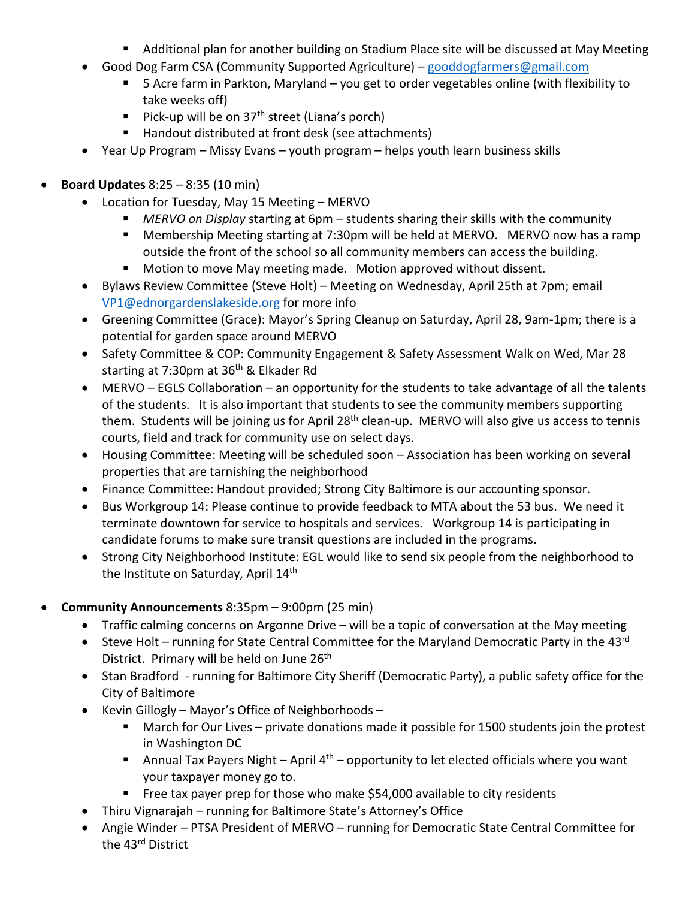- Additional plan for another building on Stadium Place site will be discussed at May Meeting
- Good Dog Farm CSA (Community Supported Agriculture) [gooddogfarmers@gmail.com](mailto:gooddogfarmers@gmail.com)
	- 5 Acre farm in Parkton, Maryland you get to order vegetables online (with flexibility to take weeks off)
	- Pick-up will be on  $37<sup>th</sup>$  street (Liana's porch)
	- Handout distributed at front desk (see attachments)
- Year Up Program Missy Evans youth program helps youth learn business skills
- **Board Updates** 8:25 8:35 (10 min)
	- Location for Tuesday, May 15 Meeting MERVO
		- *MERVO on Display* starting at 6pm students sharing their skills with the community
		- Membership Meeting starting at 7:30pm will be held at MERVO. MERVO now has a ramp outside the front of the school so all community members can access the building.
		- **Motion to move May meeting made. Motion approved without dissent.**
	- Bylaws Review Committee (Steve Holt) Meeting on Wednesday, April 25th at 7pm; email [VP1@ednorgardenslakeside.org](mailto:VP1@ednorgardenslakeside.org) for more info
	- Greening Committee (Grace): Mayor's Spring Cleanup on Saturday, April 28, 9am-1pm; there is a potential for garden space around MERVO
	- Safety Committee & COP: Community Engagement & Safety Assessment Walk on Wed, Mar 28 starting at 7:30pm at 36<sup>th</sup> & Elkader Rd
	- MERVO EGLS Collaboration an opportunity for the students to take advantage of all the talents of the students. It is also important that students to see the community members supporting them. Students will be joining us for April 28<sup>th</sup> clean-up. MERVO will also give us access to tennis courts, field and track for community use on select days.
	- Housing Committee: Meeting will be scheduled soon Association has been working on several properties that are tarnishing the neighborhood
	- Finance Committee: Handout provided; Strong City Baltimore is our accounting sponsor.
	- Bus Workgroup 14: Please continue to provide feedback to MTA about the 53 bus. We need it terminate downtown for service to hospitals and services. Workgroup 14 is participating in candidate forums to make sure transit questions are included in the programs.
	- Strong City Neighborhood Institute: EGL would like to send six people from the neighborhood to the Institute on Saturday, April 14<sup>th</sup>
- **Community Announcements** 8:35pm 9:00pm (25 min)
	- Traffic calming concerns on Argonne Drive will be a topic of conversation at the May meeting
	- Steve Holt running for State Central Committee for the Maryland Democratic Party in the 43rd District. Primary will be held on June 26<sup>th</sup>
	- Stan Bradford running for Baltimore City Sheriff (Democratic Party), a public safety office for the City of Baltimore
	- Kevin Gillogly Mayor's Office of Neighborhoods
		- March for Our Lives private donations made it possible for 1500 students join the protest in Washington DC
		- Annual Tax Payers Night April  $4<sup>th</sup>$  opportunity to let elected officials where you want your taxpayer money go to.
		- Free tax payer prep for those who make \$54,000 available to city residents
	- Thiru Vignarajah running for Baltimore State's Attorney's Office
	- Angie Winder PTSA President of MERVO running for Democratic State Central Committee for the 43<sup>rd</sup> District